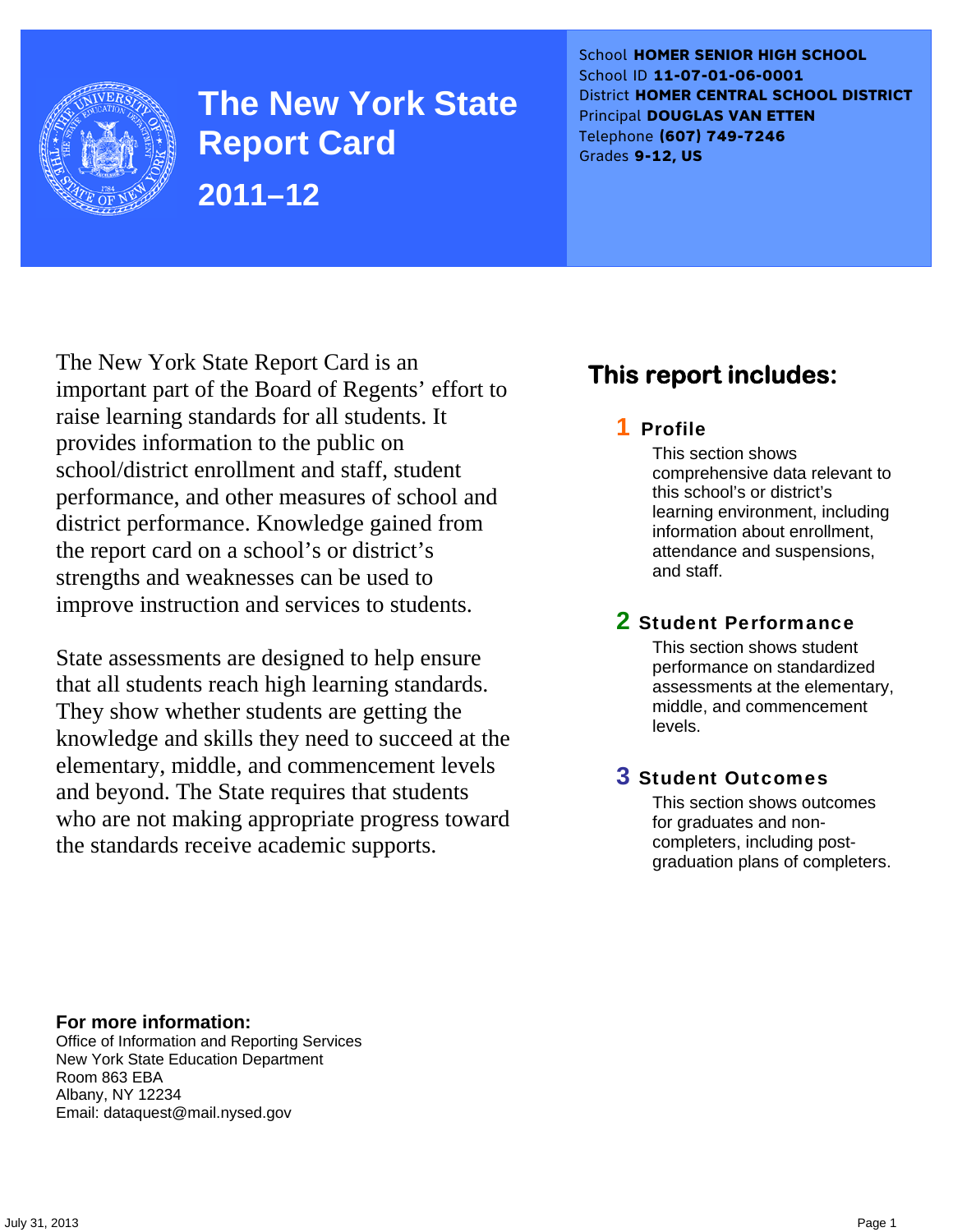

**The New York State Report Card 2011–12** 

School **HOMER SENIOR HIGH SCHOOL** School ID **11-07-01-06-0001** District **HOMER CENTRAL SCHOOL DISTRICT** Principal **DOUGLAS VAN ETTEN** Telephone **(607) 749-7246** Grades **9-12, US**

The New York State Report Card is an important part of the Board of Regents' effort to raise learning standards for all students. It provides information to the public on school/district enrollment and staff, student performance, and other measures of school and district performance. Knowledge gained from the report card on a school's or district's strengths and weaknesses can be used to improve instruction and services to students.

State assessments are designed to help ensure that all students reach high learning standards. They show whether students are getting the knowledge and skills they need to succeed at the elementary, middle, and commencement levels and beyond. The State requires that students who are not making appropriate progress toward the standards receive academic supports.

# **This report includes:**

### 1 Profile

This section shows comprehensive data relevant to this school's or district's learning environment, including information about enrollment, attendance and suspensions, and staff.

### 2 Student Performance

This section shows student performance on standardized assessments at the elementary, middle, and commencement levels.

### 3 Student Outcomes

This section shows outcomes for graduates and noncompleters, including postgraduation plans of completers.

**For more information:**  Office of Information and Reporting Services New York State Education Department Room 863 EBA Albany, NY 12234

Email: dataquest@mail.nysed.gov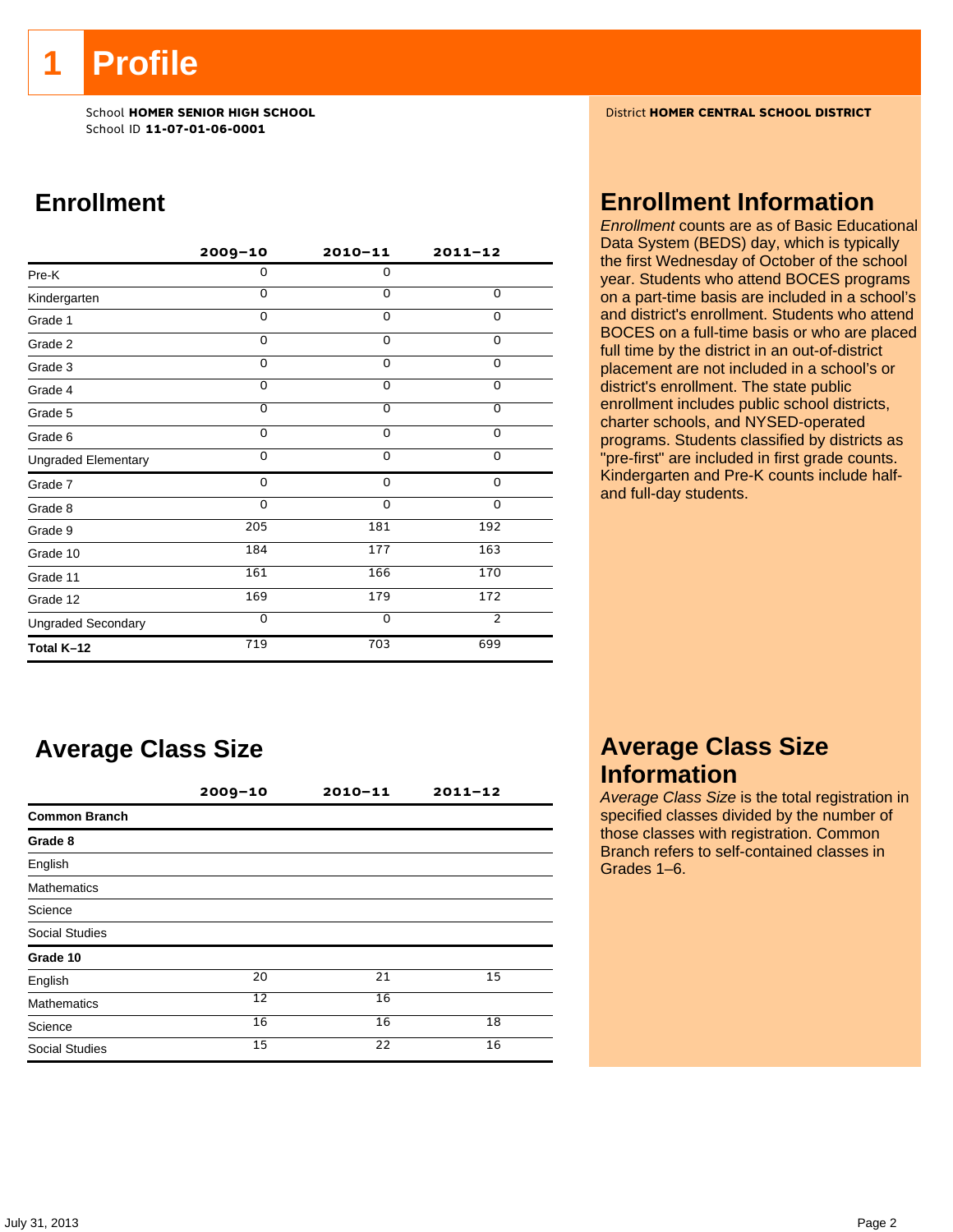**1 Profile** 

School ID **11-07-01-06-0001**

# **Enrollment**

|                            | $2009 - 10$    | $2010 - 11$    | $2011 - 12$    |
|----------------------------|----------------|----------------|----------------|
| Pre-K                      | 0              | 0              |                |
| Kindergarten               | $\Omega$       | $\Omega$       | 0              |
| Grade 1                    | $\Omega$       | $\Omega$       | 0              |
| Grade 2                    | 0              | 0              | 0              |
| Grade 3                    | $\Omega$       | 0              | $\Omega$       |
| Grade 4                    | $\Omega$       | 0              | 0              |
| Grade 5                    | $\overline{0}$ | $\overline{0}$ | $\overline{0}$ |
| Grade 6                    | $\Omega$       | $\Omega$       | $\mathbf 0$    |
| <b>Ungraded Elementary</b> | $\Omega$       | 0              | 0              |
| Grade 7                    | 0              | $\Omega$       | 0              |
| Grade 8                    | $\Omega$       | $\Omega$       | $\Omega$       |
| Grade 9                    | 205            | 181            | 192            |
| Grade 10                   | 184            | 177            | 163            |
| Grade 11                   | 161            | 166            | 170            |
| Grade 12                   | 169            | 179            | 172            |
| <b>Ungraded Secondary</b>  | $\Omega$       | $\mathbf 0$    | $\overline{2}$ |
| Total K-12                 | 719            | 703            | 699            |

# **Average Class Size**

|                       | $2009 - 10$ | $2010 - 11$ | $2011 - 12$ |  |
|-----------------------|-------------|-------------|-------------|--|
| <b>Common Branch</b>  |             |             |             |  |
| Grade 8               |             |             |             |  |
| English               |             |             |             |  |
| <b>Mathematics</b>    |             |             |             |  |
| Science               |             |             |             |  |
| <b>Social Studies</b> |             |             |             |  |
| Grade 10              |             |             |             |  |
| English               | 20          | 21          | 15          |  |
| <b>Mathematics</b>    | 12          | 16          |             |  |
| Science               | 16          | 16          | 18          |  |
| <b>Social Studies</b> | 15          | 22          | 16          |  |

School **HOMER SENIOR HIGH SCHOOL** District **HOMER CENTRAL SCHOOL DISTRICT**

### **Enrollment Information**

*Enrollment* counts are as of Basic Educational Data System (BEDS) day, which is typically the first Wednesday of October of the school year. Students who attend BOCES programs on a part-time basis are included in a school's and district's enrollment. Students who attend BOCES on a full-time basis or who are placed full time by the district in an out-of-district placement are not included in a school's or district's enrollment. The state public enrollment includes public school districts, charter schools, and NYSED-operated programs. Students classified by districts as "pre-first" are included in first grade counts. Kindergarten and Pre-K counts include halfand full-day students.

# **Average Class Size Information**

*Average Class Size* is the total registration in specified classes divided by the number of those classes with registration. Common Branch refers to self-contained classes in Grades 1–6.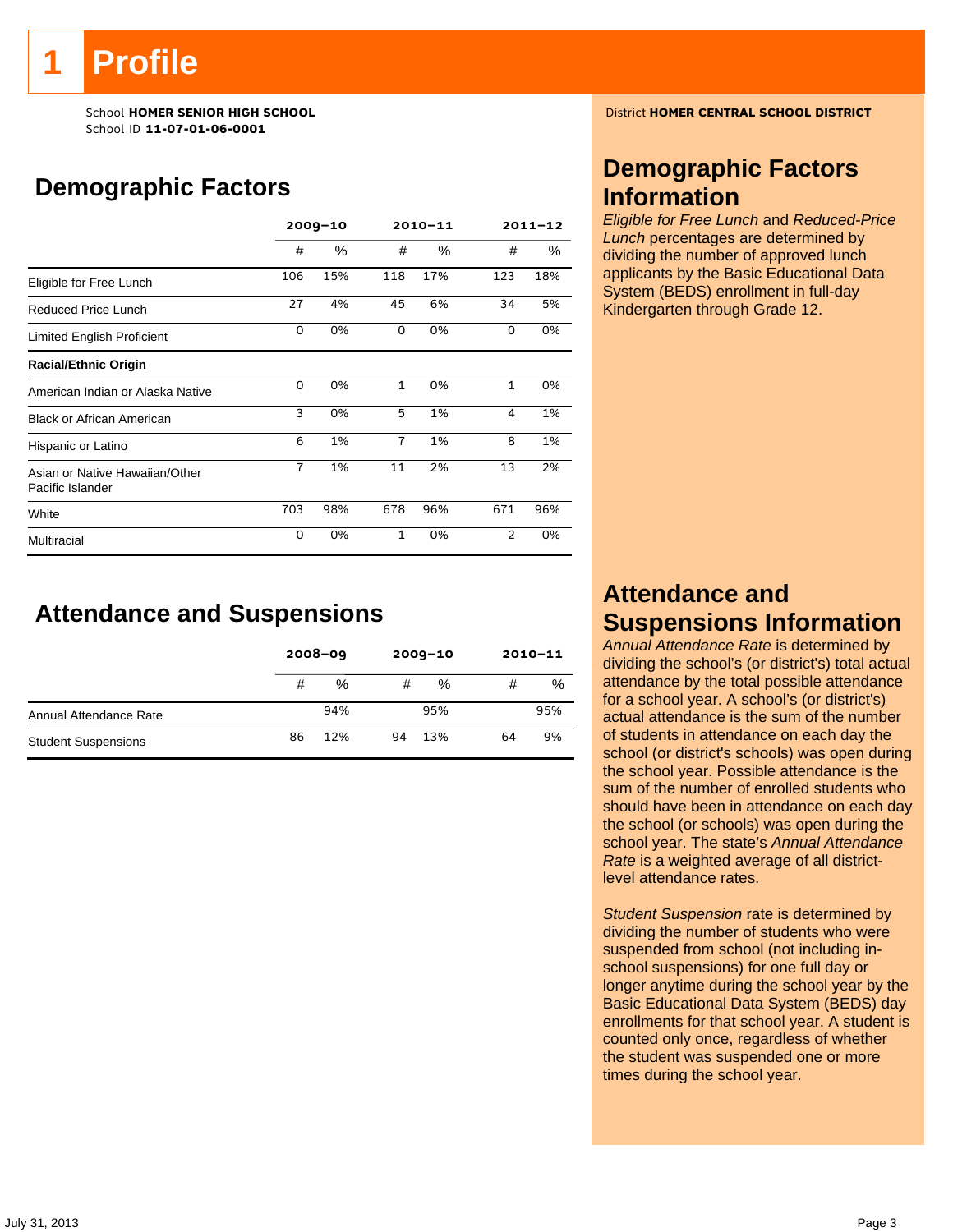# **Profile**

School ID **11-07-01-06-0001**

# **Demographic Factors**

|                                                    | $2009 - 10$    |      | 2010-11        |     | $2011 - 12$    |      |
|----------------------------------------------------|----------------|------|----------------|-----|----------------|------|
|                                                    | #              | $\%$ | #              | %   | #              | $\%$ |
| Eligible for Free Lunch                            | 106            | 15%  | 118            | 17% | 123            | 18%  |
| Reduced Price Lunch                                | 27             | 4%   | 45             | 6%  | 34             | 5%   |
| Limited English Proficient                         | 0              | 0%   | 0              | 0%  | 0              | 0%   |
| <b>Racial/Ethnic Origin</b>                        |                |      |                |     |                |      |
| American Indian or Alaska Native                   | 0              | 0%   | $\mathbf{1}$   | 0%  | $\mathbf{1}$   | 0%   |
| <b>Black or African American</b>                   | 3              | 0%   | 5              | 1%  | 4              | 1%   |
| Hispanic or Latino                                 | 6              | 1%   | $\overline{7}$ | 1%  | 8              | 1%   |
| Asian or Native Hawaiian/Other<br>Pacific Islander | $\overline{7}$ | 1%   | 11             | 2%  | 13             | 2%   |
| White                                              | 703            | 98%  | 678            | 96% | 671            | 96%  |
| Multiracial                                        | 0              | 0%   | $\mathbf{1}$   | 0%  | $\overline{2}$ | 0%   |

# **Attendance and Suspensions**

|                            |    | $2008 - 09$ | $2009 - 10$ |     | $2010 - 11$ |     |
|----------------------------|----|-------------|-------------|-----|-------------|-----|
|                            | #  | %           | #           | %   | #           | %   |
| Annual Attendance Rate     |    | 94%         |             | 95% |             | 95% |
| <b>Student Suspensions</b> | 86 | 12%         | 94          | 13% | 64          | 9%  |

School **HOMER SENIOR HIGH SCHOOL** District **HOMER CENTRAL SCHOOL DISTRICT**

# **Demographic Factors Information**

*Eligible for Free Lunch* and *Reduced-Price Lunch* percentages are determined by dividing the number of approved lunch applicants by the Basic Educational Data System (BEDS) enrollment in full-day Kindergarten through Grade 12.

# **Attendance and Suspensions Information**

*Annual Attendance Rate* is determined by dividing the school's (or district's) total actual attendance by the total possible attendance for a school year. A school's (or district's) actual attendance is the sum of the number of students in attendance on each day the school (or district's schools) was open during the school year. Possible attendance is the sum of the number of enrolled students who should have been in attendance on each day the school (or schools) was open during the school year. The state's *Annual Attendance Rate* is a weighted average of all districtlevel attendance rates.

*Student Suspension* rate is determined by dividing the number of students who were suspended from school (not including inschool suspensions) for one full day or longer anytime during the school year by the Basic Educational Data System (BEDS) day enrollments for that school year. A student is counted only once, regardless of whether the student was suspended one or more times during the school year.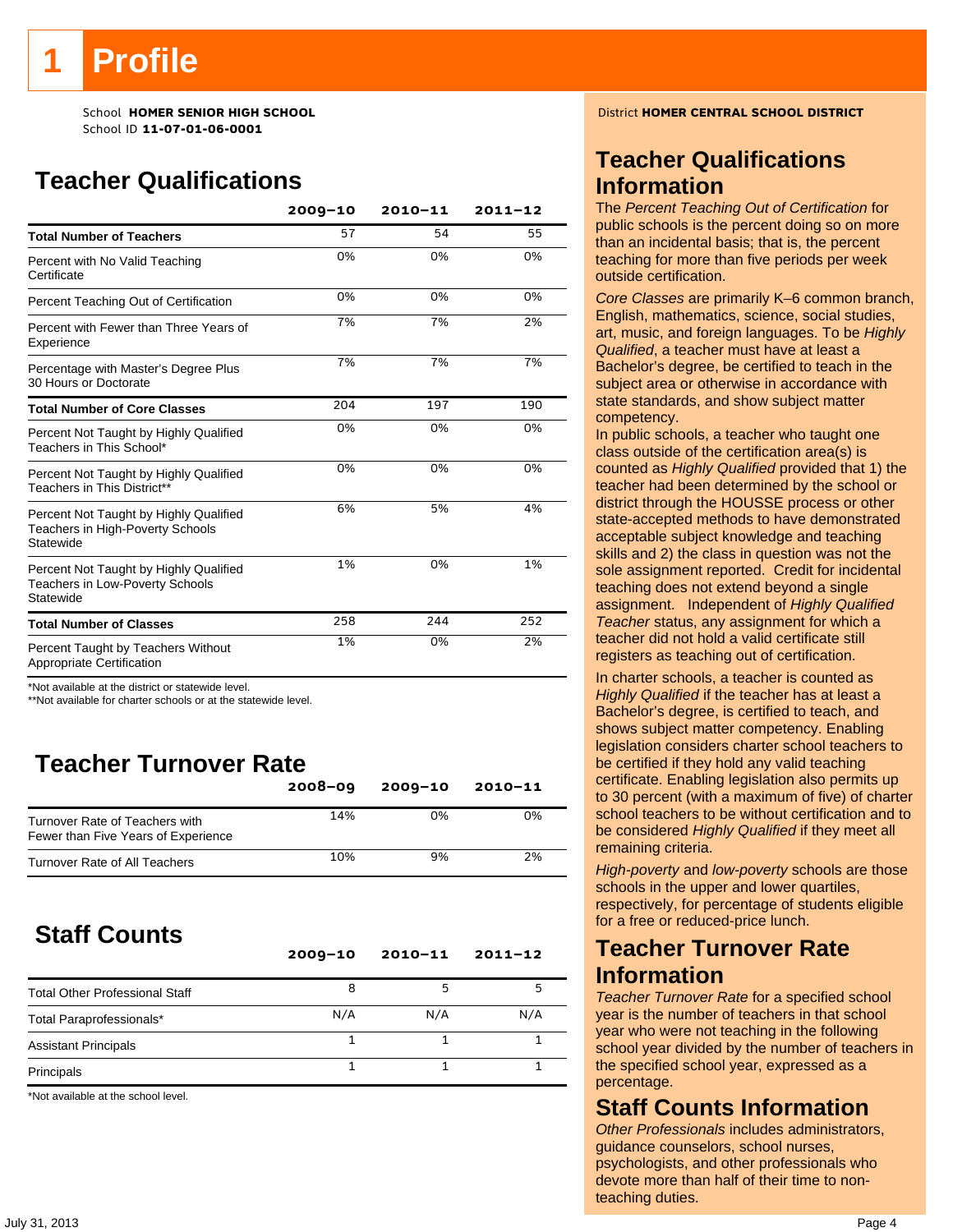# **Profile**

School ID **11-07-01-06-0001**

# **Teacher Qualifications**

|                                                                                               | $2009 - 10$ | $2010 - 11$ | $2011 - 12$ |
|-----------------------------------------------------------------------------------------------|-------------|-------------|-------------|
| <b>Total Number of Teachers</b>                                                               | 57          | 54          | 55          |
| Percent with No Valid Teaching<br>Certificate                                                 | 0%          | 0%          | 0%          |
| Percent Teaching Out of Certification                                                         | 0%          | 0%          | 0%          |
| Percent with Fewer than Three Years of<br>Experience                                          | 7%          | 7%          | 2%          |
| Percentage with Master's Degree Plus<br>30 Hours or Doctorate                                 | 7%          | 7%          | 7%          |
| <b>Total Number of Core Classes</b>                                                           | 204         | 197         | 190         |
| Percent Not Taught by Highly Qualified<br>Teachers in This School*                            | 0%          | 0%          | 0%          |
| Percent Not Taught by Highly Qualified<br>Teachers in This District**                         | 0%          | 0%          | 0%          |
| Percent Not Taught by Highly Qualified<br>Teachers in High-Poverty Schools<br>Statewide       | 6%          | 5%          | 4%          |
| Percent Not Taught by Highly Qualified<br><b>Teachers in Low-Poverty Schools</b><br>Statewide | 1%          | 0%          | 1%          |
| <b>Total Number of Classes</b>                                                                | 258         | 244         | 252         |
| Percent Taught by Teachers Without<br>Appropriate Certification                               | 1%          | 0%          | 2%          |

\*Not available at the district or statewide level.

\*\*Not available for charter schools or at the statewide level.

# **Teacher Turnover Rate**

|                                                                       | $2008 - 09$ | $2009 - 10$ | 2010-11 |
|-----------------------------------------------------------------------|-------------|-------------|---------|
| Turnover Rate of Teachers with<br>Fewer than Five Years of Experience | 14%         | 0%          | 0%      |
| Turnover Rate of All Teachers                                         | 10%         | 9%          | 2%      |

# **Staff Counts**

|                                       | $2009 - 10$ | $2010 - 11$ | $2011 - 12$ |
|---------------------------------------|-------------|-------------|-------------|
| <b>Total Other Professional Staff</b> | 8           |             |             |
| Total Paraprofessionals*              | N/A         | N/A         | N/A         |
| <b>Assistant Principals</b>           |             |             |             |
| Principals                            |             |             |             |

\*Not available at the school level.

School **HOMER SENIOR HIGH SCHOOL** District **HOMER CENTRAL SCHOOL DISTRICT**

# **Teacher Qualifications Information**

The *Percent Teaching Out of Certification* for public schools is the percent doing so on more than an incidental basis; that is, the percent teaching for more than five periods per week outside certification.

*Core Classes* are primarily K–6 common branch, English, mathematics, science, social studies, art, music, and foreign languages. To be *Highly Qualified*, a teacher must have at least a Bachelor's degree, be certified to teach in the subject area or otherwise in accordance with state standards, and show subject matter competency.

In public schools, a teacher who taught one class outside of the certification area(s) is counted as *Highly Qualified* provided that 1) the teacher had been determined by the school or district through the HOUSSE process or other state-accepted methods to have demonstrated acceptable subject knowledge and teaching skills and 2) the class in question was not the sole assignment reported. Credit for incidental teaching does not extend beyond a single assignment. Independent of *Highly Qualified Teacher* status, any assignment for which a teacher did not hold a valid certificate still registers as teaching out of certification.

In charter schools, a teacher is counted as *Highly Qualified* if the teacher has at least a Bachelor's degree, is certified to teach, and shows subject matter competency. Enabling legislation considers charter school teachers to be certified if they hold any valid teaching certificate. Enabling legislation also permits up to 30 percent (with a maximum of five) of charter school teachers to be without certification and to be considered *Highly Qualified* if they meet all remaining criteria.

*High-poverty* and *low-poverty* schools are those schools in the upper and lower quartiles, respectively, for percentage of students eligible for a free or reduced-price lunch.

### **Teacher Turnover Rate Information**

*Teacher Turnover Rate* for a specified school year is the number of teachers in that school year who were not teaching in the following school year divided by the number of teachers in the specified school year, expressed as a percentage.

### **Staff Counts Information**

*Other Professionals* includes administrators, guidance counselors, school nurses, psychologists, and other professionals who devote more than half of their time to nonteaching duties.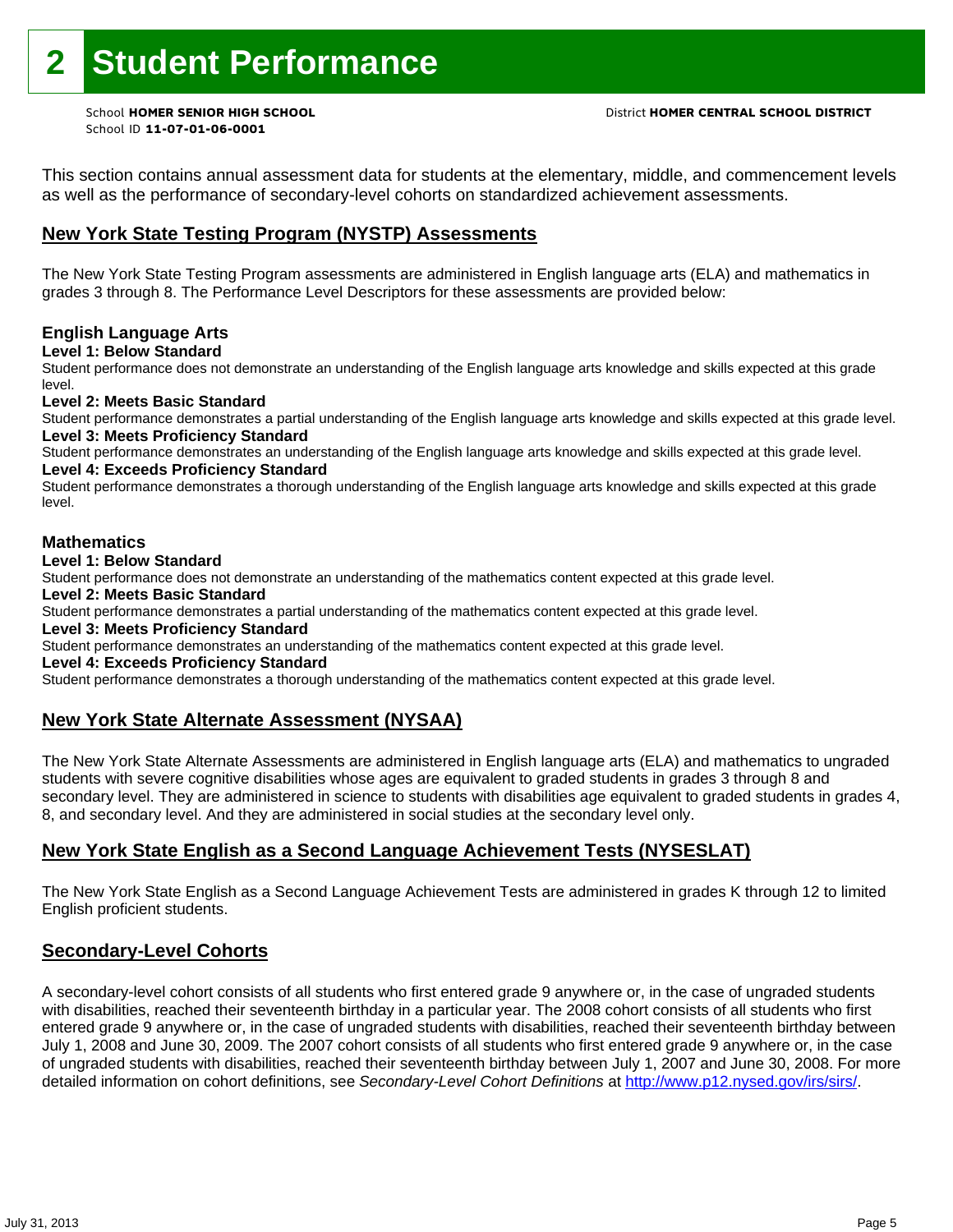This section contains annual assessment data for students at the elementary, middle, and commencement levels as well as the performance of secondary-level cohorts on standardized achievement assessments.

### **New York State Testing Program (NYSTP) Assessments**

The New York State Testing Program assessments are administered in English language arts (ELA) and mathematics in grades 3 through 8. The Performance Level Descriptors for these assessments are provided below:

#### **English Language Arts**

**Level 1: Below Standard** 

Student performance does not demonstrate an understanding of the English language arts knowledge and skills expected at this grade level.

#### **Level 2: Meets Basic Standard**

Student performance demonstrates a partial understanding of the English language arts knowledge and skills expected at this grade level. **Level 3: Meets Proficiency Standard** 

Student performance demonstrates an understanding of the English language arts knowledge and skills expected at this grade level. **Level 4: Exceeds Proficiency Standard** 

Student performance demonstrates a thorough understanding of the English language arts knowledge and skills expected at this grade level.

#### **Mathematics**

#### **Level 1: Below Standard**

Student performance does not demonstrate an understanding of the mathematics content expected at this grade level.

#### **Level 2: Meets Basic Standard**

Student performance demonstrates a partial understanding of the mathematics content expected at this grade level.

#### **Level 3: Meets Proficiency Standard**

Student performance demonstrates an understanding of the mathematics content expected at this grade level.

#### **Level 4: Exceeds Proficiency Standard**

Student performance demonstrates a thorough understanding of the mathematics content expected at this grade level.

#### **New York State Alternate Assessment (NYSAA)**

The New York State Alternate Assessments are administered in English language arts (ELA) and mathematics to ungraded students with severe cognitive disabilities whose ages are equivalent to graded students in grades 3 through 8 and secondary level. They are administered in science to students with disabilities age equivalent to graded students in grades 4, 8, and secondary level. And they are administered in social studies at the secondary level only.

#### **New York State English as a Second Language Achievement Tests (NYSESLAT)**

The New York State English as a Second Language Achievement Tests are administered in grades K through 12 to limited English proficient students.

#### **Secondary-Level Cohorts**

A secondary-level cohort consists of all students who first entered grade 9 anywhere or, in the case of ungraded students with disabilities, reached their seventeenth birthday in a particular year. The 2008 cohort consists of all students who first entered grade 9 anywhere or, in the case of ungraded students with disabilities, reached their seventeenth birthday between July 1, 2008 and June 30, 2009. The 2007 cohort consists of all students who first entered grade 9 anywhere or, in the case of ungraded students with disabilities, reached their seventeenth birthday between July 1, 2007 and June 30, 2008. For more detailed information on cohort definitions, see *Secondary-Level Cohort Definitions* at http://www.p12.nysed.gov/irs/sirs/.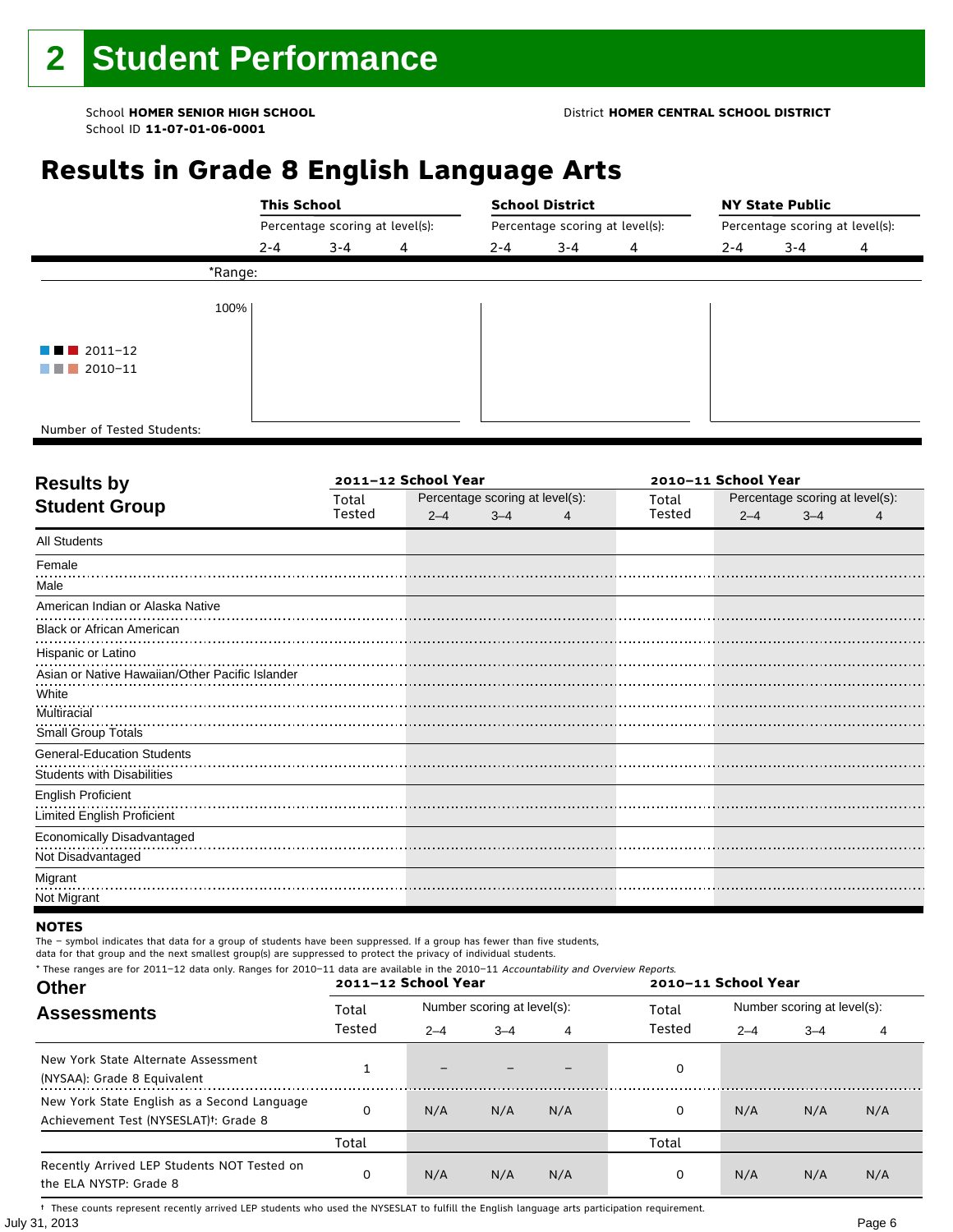#### School **HOMER SENIOR HIGH SCHOOL** District **HOMER CENTRAL SCHOOL DISTRICT**

# **Results in Grade 8 English Language Arts**

|                                       | <b>This School</b>              |         |   |                                 | <b>School District</b> |   | <b>NY State Public</b>          |         |   |  |
|---------------------------------------|---------------------------------|---------|---|---------------------------------|------------------------|---|---------------------------------|---------|---|--|
|                                       | Percentage scoring at level(s): |         |   | Percentage scoring at level(s): |                        |   | Percentage scoring at level(s): |         |   |  |
|                                       | $2 - 4$                         | $3 - 4$ | 4 | 2-4                             | $3 - 4$                | 4 | $2 - 4$                         | $3 - 4$ | 4 |  |
| *Range:                               |                                 |         |   |                                 |                        |   |                                 |         |   |  |
| 100%                                  |                                 |         |   |                                 |                        |   |                                 |         |   |  |
| $\blacksquare$ $\blacksquare$ 2011-12 |                                 |         |   |                                 |                        |   |                                 |         |   |  |
| 2010-11<br>a shekara                  |                                 |         |   |                                 |                        |   |                                 |         |   |  |
|                                       |                                 |         |   |                                 |                        |   |                                 |         |   |  |
| Number of Tested Students:            |                                 |         |   |                                 |                        |   |                                 |         |   |  |

٦

| Total  |         |         |                     | Total                           |         | Percentage scoring at level(s): |                     |  |
|--------|---------|---------|---------------------|---------------------------------|---------|---------------------------------|---------------------|--|
| Tested | $2 - 4$ | $3 - 4$ | 4                   | Tested                          | $2 - 4$ | $3 - 4$                         |                     |  |
|        |         |         |                     |                                 |         |                                 |                     |  |
|        |         |         |                     |                                 |         |                                 |                     |  |
|        |         |         |                     |                                 |         |                                 |                     |  |
|        |         |         |                     |                                 |         |                                 |                     |  |
|        |         |         |                     |                                 |         |                                 |                     |  |
|        |         |         |                     |                                 |         |                                 |                     |  |
|        |         |         |                     |                                 |         |                                 |                     |  |
|        |         |         |                     |                                 |         |                                 |                     |  |
|        |         |         |                     |                                 |         |                                 |                     |  |
|        |         |         |                     |                                 |         |                                 |                     |  |
|        |         |         |                     |                                 |         |                                 |                     |  |
|        |         |         |                     |                                 |         |                                 |                     |  |
|        |         |         |                     |                                 |         |                                 |                     |  |
|        |         |         |                     |                                 |         |                                 |                     |  |
|        |         |         |                     |                                 |         |                                 |                     |  |
|        |         |         |                     |                                 |         |                                 |                     |  |
|        |         |         |                     |                                 |         |                                 |                     |  |
|        |         |         |                     |                                 |         |                                 |                     |  |
|        |         |         | 2011-12 School Year | Percentage scoring at level(s): |         |                                 | 2010-11 School Year |  |

#### **NOTES**

The – symbol indicates that data for a group of students have been suppressed. If a group has fewer than five students, data for that group and the next smallest group(s) are suppressed to protect the privacy of individual students.

\* These ranges are for 2011–12 data only. Ranges for 2010–11 data are available in the 2010–11 Accountability and Overview Reports.

| <b>Other</b>                                                                                      | 2011-12 School Year |         |                             |     | 2010-11 School Year |                             |         |     |
|---------------------------------------------------------------------------------------------------|---------------------|---------|-----------------------------|-----|---------------------|-----------------------------|---------|-----|
| <b>Assessments</b>                                                                                | Total               |         | Number scoring at level(s): |     | Total               | Number scoring at level(s): |         |     |
|                                                                                                   | Tested              | $2 - 4$ | $3 - 4$                     | 4   | Tested              | $2 - 4$                     | $3 - 4$ | 4   |
| New York State Alternate Assessment<br>(NYSAA): Grade 8 Equivalent                                |                     |         |                             |     | 0                   |                             |         |     |
| New York State English as a Second Language<br>Achievement Test (NYSESLAT) <sup>+</sup> : Grade 8 | O                   | N/A     | N/A                         | N/A | 0                   | N/A                         | N/A     | N/A |
|                                                                                                   | Total               |         |                             |     | Total               |                             |         |     |
| Recently Arrived LEP Students NOT Tested on<br>the ELA NYSTP: Grade 8                             | 0                   | N/A     | N/A                         | N/A | 0                   | N/A                         | N/A     | N/A |

July 31, 2013 Page 6 † These counts represent recently arrived LEP students who used the NYSESLAT to fulfill the English language arts participation requirement.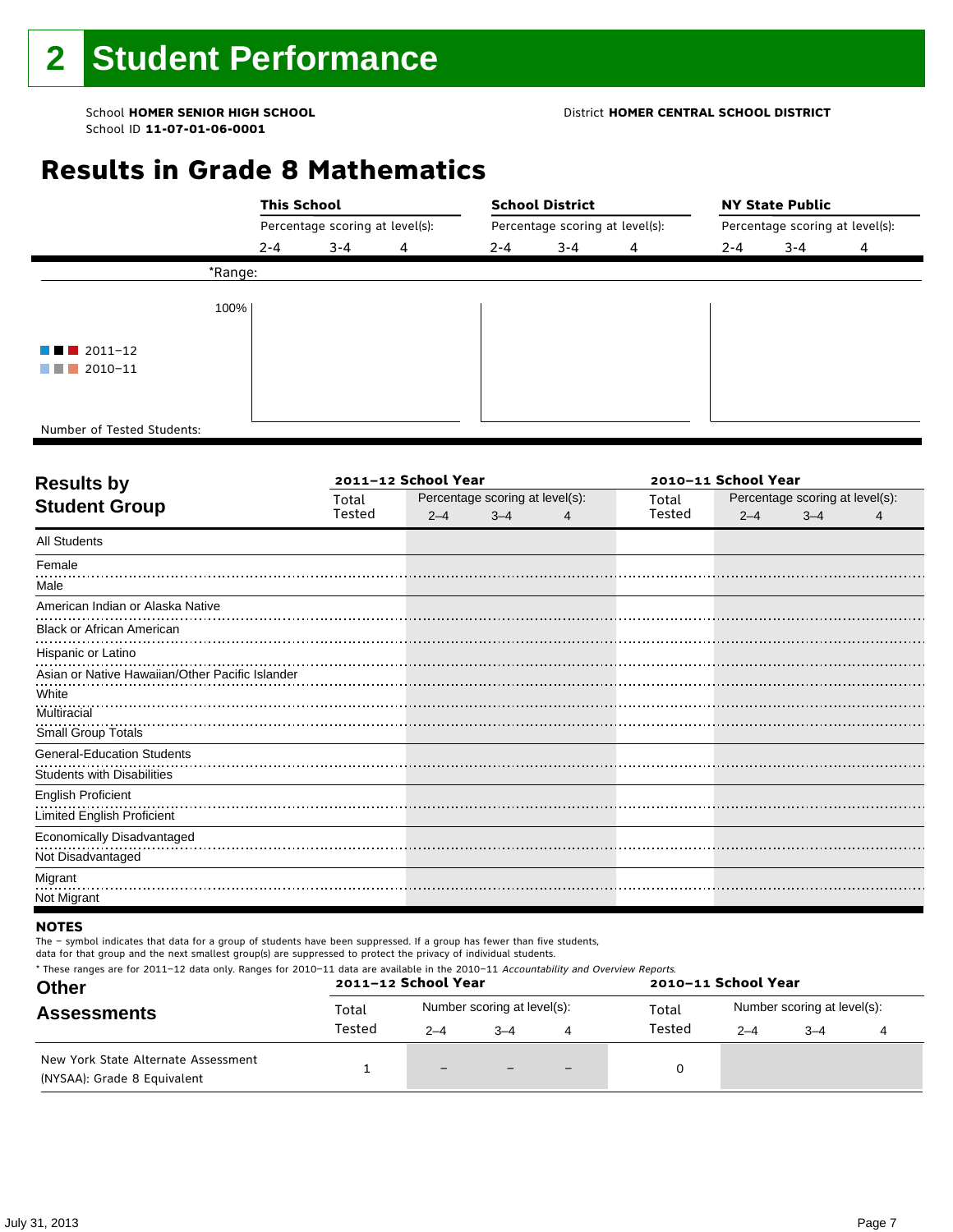#### School **HOMER SENIOR HIGH SCHOOL** District **HOMER CENTRAL SCHOOL DISTRICT**

# **Results in Grade 8 Mathematics**

|                                       |         | <b>This School</b>              |   |                                 | <b>School District</b> |   | <b>NY State Public</b>          |         |   |  |
|---------------------------------------|---------|---------------------------------|---|---------------------------------|------------------------|---|---------------------------------|---------|---|--|
|                                       |         | Percentage scoring at level(s): |   | Percentage scoring at level(s): |                        |   | Percentage scoring at level(s): |         |   |  |
|                                       | $2 - 4$ | $3 - 4$                         | 4 | $2 - 4$                         | $3 - 4$                | 4 | $2 - 4$                         | $3 - 4$ | 4 |  |
|                                       | *Range: |                                 |   |                                 |                        |   |                                 |         |   |  |
|                                       | 100%    |                                 |   |                                 |                        |   |                                 |         |   |  |
| $\blacksquare$ $\blacksquare$ 2011-12 |         |                                 |   |                                 |                        |   |                                 |         |   |  |
| $\blacksquare$ 2010-11                |         |                                 |   |                                 |                        |   |                                 |         |   |  |
|                                       |         |                                 |   |                                 |                        |   |                                 |         |   |  |
| Number of Tested Students:            |         |                                 |   |                                 |                        |   |                                 |         |   |  |

٦

| <b>Results by</b>                               |        | 2011-12 School Year |                                 | 2010-11 School Year |        |                                 |         |   |
|-------------------------------------------------|--------|---------------------|---------------------------------|---------------------|--------|---------------------------------|---------|---|
| <b>Student Group</b>                            | Total  |                     | Percentage scoring at level(s): |                     |        | Percentage scoring at level(s): |         |   |
|                                                 | Tested | $2 - 4$             | $3 - 4$                         | 4                   | Tested | $2 - 4$                         | $3 - 4$ | 4 |
| <b>All Students</b>                             |        |                     |                                 |                     |        |                                 |         |   |
| Female                                          |        |                     |                                 |                     |        |                                 |         |   |
| Male                                            |        |                     |                                 |                     |        |                                 |         |   |
| American Indian or Alaska Native                |        |                     |                                 |                     |        |                                 |         |   |
| <b>Black or African American</b>                |        |                     |                                 |                     |        |                                 |         |   |
| Hispanic or Latino                              |        |                     |                                 |                     |        |                                 |         |   |
| Asian or Native Hawaiian/Other Pacific Islander |        |                     |                                 |                     |        |                                 |         |   |
| White                                           |        |                     |                                 |                     |        |                                 |         |   |
| Multiracial                                     |        |                     |                                 |                     |        |                                 |         |   |
| Small Group Totals                              |        |                     |                                 |                     |        |                                 |         |   |
| <b>General-Education Students</b>               |        |                     |                                 |                     |        |                                 |         |   |
| <b>Students with Disabilities</b>               |        |                     |                                 |                     |        |                                 |         |   |
| <b>English Proficient</b>                       |        |                     |                                 |                     |        |                                 |         |   |
| <b>Limited English Proficient</b>               |        |                     |                                 |                     |        |                                 |         |   |
| Economically Disadvantaged                      |        |                     |                                 |                     |        |                                 |         |   |
| Not Disadvantaged                               |        |                     |                                 |                     |        |                                 |         |   |
| Migrant                                         |        |                     |                                 |                     |        |                                 |         |   |
| Not Migrant                                     |        |                     |                                 |                     |        |                                 |         |   |

#### **NOTES**

The – symbol indicates that data for a group of students have been suppressed. If a group has fewer than five students,

| * These ranges are for 2011-12 data only. Ranges for 2010-11 data are available in the 2010-11 Accountability and Overview Reports.<br><b>Other</b> | 2011-12 School Year<br>2010-11 School Year |         |                             |                          |        |                             |         |  |  |  |
|-----------------------------------------------------------------------------------------------------------------------------------------------------|--------------------------------------------|---------|-----------------------------|--------------------------|--------|-----------------------------|---------|--|--|--|
| <b>Assessments</b>                                                                                                                                  | Total                                      |         | Number scoring at level(s): |                          | Total  | Number scoring at level(s): |         |  |  |  |
|                                                                                                                                                     | Tested                                     | $2 - 4$ | $-4$                        | 4                        | Tested | $2 - 4$                     | $3 - 4$ |  |  |  |
| New York State Alternate Assessment<br>(NYSAA): Grade 8 Equivalent                                                                                  |                                            | $-$     |                             | $\overline{\phantom{0}}$ |        |                             |         |  |  |  |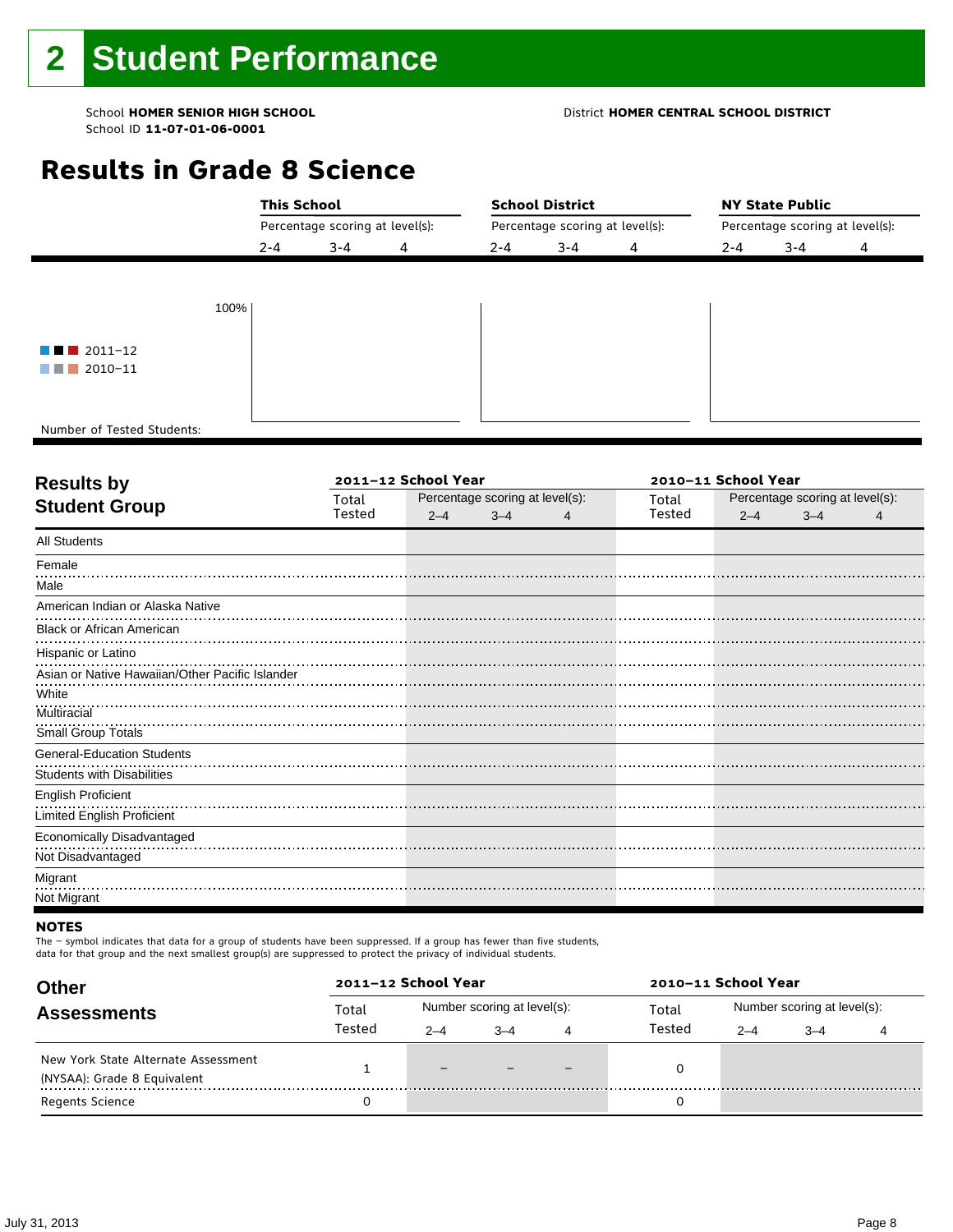#### School **HOMER SENIOR HIGH SCHOOL** District **HOMER CENTRAL SCHOOL DISTRICT**

# **Results in Grade 8 Science**

|                                       | <b>This School</b><br>Percentage scoring at level(s): |         |   | <b>School District</b>          |         | <b>NY State Public</b><br>Percentage scoring at level(s): |         |         |   |
|---------------------------------------|-------------------------------------------------------|---------|---|---------------------------------|---------|-----------------------------------------------------------|---------|---------|---|
|                                       |                                                       |         |   | Percentage scoring at level(s): |         |                                                           |         |         |   |
|                                       | $2 - 4$                                               | $3 - 4$ | 4 | $2 - 4$                         | $3 - 4$ | 4                                                         | $2 - 4$ | $3 - 4$ | 4 |
|                                       |                                                       |         |   |                                 |         |                                                           |         |         |   |
| 100%                                  |                                                       |         |   |                                 |         |                                                           |         |         |   |
|                                       |                                                       |         |   |                                 |         |                                                           |         |         |   |
| $\blacksquare$ $\blacksquare$ 2011-12 |                                                       |         |   |                                 |         |                                                           |         |         |   |
| $\blacksquare$ 2010-11                |                                                       |         |   |                                 |         |                                                           |         |         |   |
|                                       |                                                       |         |   |                                 |         |                                                           |         |         |   |
| Number of Tested Students:            |                                                       |         |   |                                 |         |                                                           |         |         |   |

٦

| <b>Results by</b>                               |        | 2011-12 School Year |                                 | 2010-11 School Year |        |         |                                 |   |
|-------------------------------------------------|--------|---------------------|---------------------------------|---------------------|--------|---------|---------------------------------|---|
| <b>Student Group</b>                            | Total  |                     | Percentage scoring at level(s): |                     | Total  |         | Percentage scoring at level(s): |   |
|                                                 | Tested | $2 - 4$             | $3 - 4$                         | 4                   | Tested | $2 - 4$ | $3 - 4$                         | 4 |
| <b>All Students</b>                             |        |                     |                                 |                     |        |         |                                 |   |
| Female                                          |        |                     |                                 |                     |        |         |                                 |   |
| Male                                            |        |                     |                                 |                     |        |         |                                 |   |
| American Indian or Alaska Native                |        |                     |                                 |                     |        |         |                                 |   |
| <b>Black or African American</b>                |        |                     |                                 |                     |        |         |                                 |   |
| Hispanic or Latino                              |        |                     |                                 |                     |        |         |                                 |   |
| Asian or Native Hawaiian/Other Pacific Islander |        |                     |                                 |                     |        |         |                                 |   |
| White                                           |        |                     |                                 |                     |        |         |                                 |   |
| Multiracial                                     |        |                     |                                 |                     |        |         |                                 |   |
| Small Group Totals                              |        |                     |                                 |                     |        |         |                                 |   |
| <b>General-Education Students</b>               |        |                     |                                 |                     |        |         |                                 |   |
| <b>Students with Disabilities</b>               |        |                     |                                 |                     |        |         |                                 |   |
| <b>English Proficient</b>                       |        |                     |                                 |                     |        |         |                                 |   |
| <b>Limited English Proficient</b>               |        |                     |                                 |                     |        |         |                                 |   |
| Economically Disadvantaged                      |        |                     |                                 |                     |        |         |                                 |   |
| Not Disadvantaged                               |        |                     |                                 |                     |        |         |                                 |   |
| Migrant                                         |        |                     |                                 |                     |        |         |                                 |   |
| Not Migrant                                     |        |                     |                                 |                     |        |         |                                 |   |

#### **NOTES**

The – symbol indicates that data for a group of students have been suppressed. If a group has fewer than five students,

| <b>Other</b>                        | 2011-12 School Year |         |                             |   | 2010-11 School Year |                             |         |  |  |
|-------------------------------------|---------------------|---------|-----------------------------|---|---------------------|-----------------------------|---------|--|--|
| <b>Assessments</b>                  | Total               |         | Number scoring at level(s): |   | Total               | Number scoring at level(s): |         |  |  |
|                                     | Tested              | $2 - 4$ | $3 - 4$                     | 4 | Tested              | $2 - 4$                     | $3 - 4$ |  |  |
| New York State Alternate Assessment |                     | $-$     |                             |   |                     |                             |         |  |  |
| (NYSAA): Grade 8 Equivalent         |                     |         |                             |   |                     |                             |         |  |  |
| <b>Regents Science</b>              |                     |         |                             |   |                     |                             |         |  |  |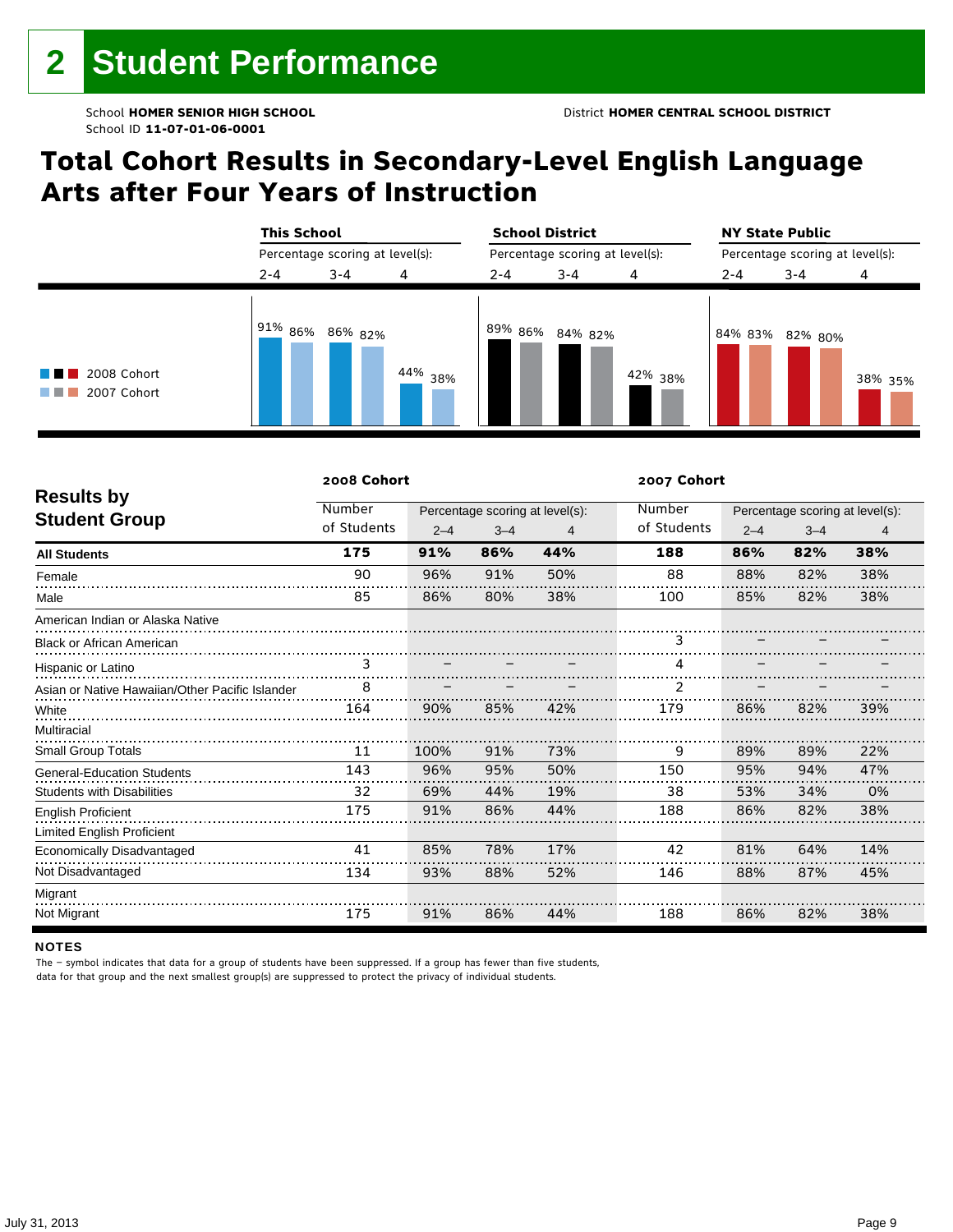# **Total Cohort Results in Secondary-Level English Language Arts after Four Years of Instruction**

|                                                | <b>This School</b><br>Percentage scoring at level(s): |         |            | <b>School District</b> |                                 |         | <b>NY State Public</b><br>Percentage scoring at level(s): |                 |         |  |
|------------------------------------------------|-------------------------------------------------------|---------|------------|------------------------|---------------------------------|---------|-----------------------------------------------------------|-----------------|---------|--|
|                                                |                                                       |         |            |                        | Percentage scoring at level(s): |         |                                                           |                 |         |  |
|                                                | $2 - 4$                                               | $3 - 4$ | 4          | $2 - 4$                | $3 - 4$                         | 4       | $2 - 4$                                                   | $3 - 4$         | 4       |  |
| 2008 Cohort<br>a sa katika sa n<br>2007 Cohort | $191\%$ 86% 86% 82%                                   |         | $44\%$ 38% |                        | 89% 86% 84% 82%                 | 42% 38% |                                                           | 84% 83% 82% 80% | 38% 35% |  |

|                                                 | 2008 Cohort |         |                                 |                | 2007 Cohort |         |                                 |     |
|-------------------------------------------------|-------------|---------|---------------------------------|----------------|-------------|---------|---------------------------------|-----|
| <b>Results by</b>                               | Number      |         | Percentage scoring at level(s): |                | Number      |         | Percentage scoring at level(s): |     |
| <b>Student Group</b>                            | of Students | $2 - 4$ | $3 - 4$                         | $\overline{4}$ | of Students | $2 - 4$ | $3 - 4$                         | 4   |
| <b>All Students</b>                             | 175         | 91%     | 86%                             | 44%            | 188         | 86%     | 82%                             | 38% |
| Female                                          | 90          | 96%     | 91%                             | 50%            | 88          | 88%     | 82%                             | 38% |
| Male                                            | 85          | 86%     | 80%                             | 38%            | 100         | 85%     | 82%                             | 38% |
| American Indian or Alaska Native                |             |         |                                 |                |             |         |                                 |     |
| <b>Black or African American</b>                |             |         |                                 |                | 3           |         |                                 |     |
| Hispanic or Latino                              |             |         |                                 |                | 4           |         |                                 |     |
| Asian or Native Hawaiian/Other Pacific Islander | 8           |         |                                 |                | 2           |         |                                 |     |
| White                                           | 164         | 90%     | 85%                             | 42%            | 179         | 86%     | 82%                             | 39% |
| Multiracial                                     |             |         |                                 |                |             |         |                                 |     |
| Small Group Totals                              | 11          | 100%    | 91%                             | 73%            | 9           | 89%     | 89%                             | 22% |
| <b>General-Education Students</b>               | 143         | 96%     | 95%                             | 50%            | 150         | 95%     | 94%                             | 47% |
| <b>Students with Disabilities</b>               | 32          | 69%     | 44%                             | 19%            | 38          | 53%     | 34%                             | 0%  |
| <b>English Proficient</b>                       | 175         | 91%     | 86%                             | 44%            | 188         | 86%     | 82%                             | 38% |
| <b>Limited English Proficient</b>               |             |         |                                 |                |             |         |                                 |     |
| Economically Disadvantaged                      | 41          | 85%     | 78%                             | 17%            | 42          | 81%     | 64%                             | 14% |
| Not Disadvantaged                               | 134         | 93%     | 88%                             | 52%            | 146         | 88%     | 87%                             | 45% |
| Migrant                                         |             |         |                                 |                |             |         |                                 |     |
| Not Migrant                                     | 175         | 91%     | 86%                             | 44%            | 188         | 86%     | 82%                             | 38% |

#### **NOTES**

The – symbol indicates that data for a group of students have been suppressed. If a group has fewer than five students,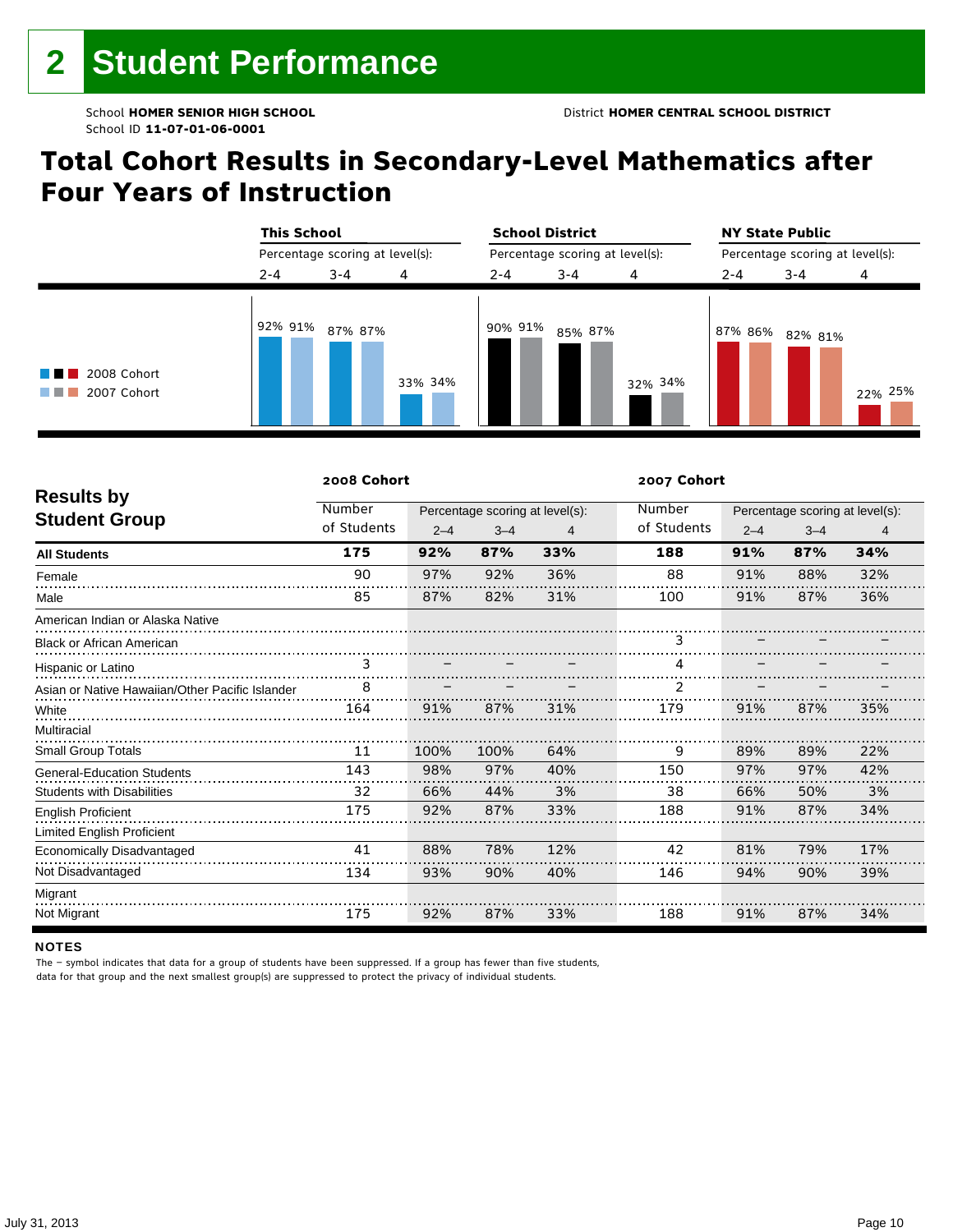# **Total Cohort Results in Secondary-Level Mathematics after Four Years of Instruction**

|                                 |         | <b>This School</b><br>Percentage scoring at level(s): |         |         | <b>School District</b>          |         | <b>NY State Public</b><br>Percentage scoring at level(s): |         |         |  |
|---------------------------------|---------|-------------------------------------------------------|---------|---------|---------------------------------|---------|-----------------------------------------------------------|---------|---------|--|
|                                 |         |                                                       |         |         | Percentage scoring at level(s): |         |                                                           |         |         |  |
|                                 | $2 - 4$ | $3 - 4$                                               | 4       | $2 - 4$ | $3 - 4$                         | 4       | $2 - 4$                                                   | $3 - 4$ | 4       |  |
| 2008 Cohort<br>2007 Cohort<br>. | 92% 91% | 87% 87%                                               | 33% 34% | 90% 91% | 85% 87%                         | 32% 34% | 87% 86%                                                   | 82% 81% | 22% 25% |  |

|                                                 | 2008 Cohort |         |                                 |     | 2007 Cohort |         |         |                                 |
|-------------------------------------------------|-------------|---------|---------------------------------|-----|-------------|---------|---------|---------------------------------|
| <b>Results by</b>                               | Number      |         | Percentage scoring at level(s): |     | Number      |         |         | Percentage scoring at level(s): |
| <b>Student Group</b>                            | of Students | $2 - 4$ | $3 - 4$                         | 4   | of Students | $2 - 4$ | $3 - 4$ | 4                               |
| <b>All Students</b>                             | 175         | 92%     | 87%                             | 33% | 188         | 91%     | 87%     | 34%                             |
| Female                                          | 90          | 97%     | 92%                             | 36% | 88          | 91%     | 88%     | 32%                             |
| Male                                            | 85          | 87%     | 82%                             | 31% | 100         | 91%     | 87%     | 36%                             |
| American Indian or Alaska Native                |             |         |                                 |     |             |         |         |                                 |
| <b>Black or African American</b>                |             |         |                                 |     | 3           |         |         |                                 |
| Hispanic or Latino                              |             |         |                                 |     |             |         |         |                                 |
| Asian or Native Hawaiian/Other Pacific Islander | 8           |         |                                 |     | 2           |         |         |                                 |
| White                                           | 164         | 91%     | 87%                             | 31% | 179         | 91%     | 87%     | 35%                             |
| Multiracial                                     |             |         |                                 |     |             |         |         |                                 |
| <b>Small Group Totals</b>                       | 11          | 100%    | 100%                            | 64% | 9           | 89%     | 89%     | 22%                             |
| <b>General-Education Students</b>               | 143         | 98%     | 97%                             | 40% | 150         | 97%     | 97%     | 42%                             |
| <b>Students with Disabilities</b>               | 32          | 66%     | 44%                             | 3%  | 38          | 66%     | 50%     | 3%                              |
| <b>English Proficient</b>                       | 175         | 92%     | 87%                             | 33% | 188         | 91%     | 87%     | 34%                             |
| Limited English Proficient                      |             |         |                                 |     |             |         |         |                                 |
| Economically Disadvantaged                      | 41          | 88%     | 78%                             | 12% | 42          | 81%     | 79%     | 17%                             |
| Not Disadvantaged                               | 134         | 93%     | 90%                             | 40% | 146         | 94%     | 90%     | 39%                             |
| Migrant                                         |             |         |                                 |     |             |         |         |                                 |
| Not Migrant                                     | 175         | 92%     | 87%                             | 33% | 188         | 91%     | 87%     | 34%                             |

#### **NOTES**

The – symbol indicates that data for a group of students have been suppressed. If a group has fewer than five students,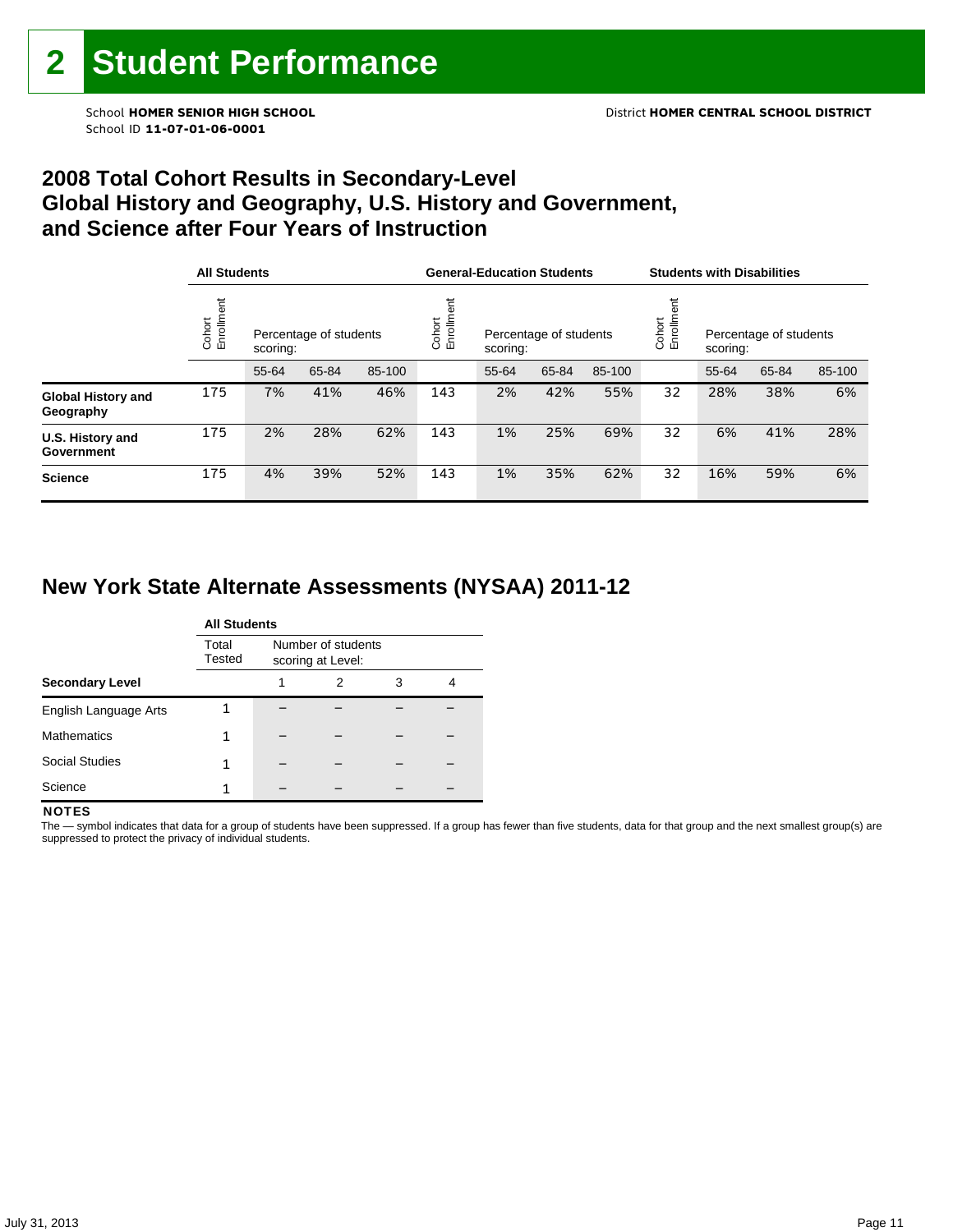### **2008 Total Cohort Results in Secondary-Level Global History and Geography, U.S. History and Government, and Science after Four Years of Instruction**

|                                        |                      | <b>All Students</b>                |       |        |                    | <b>General-Education Students</b>  |       |        |                   | <b>Students with Disabilities</b>  |       |        |  |
|----------------------------------------|----------------------|------------------------------------|-------|--------|--------------------|------------------------------------|-------|--------|-------------------|------------------------------------|-------|--------|--|
|                                        | Cohort<br>Enrollment | Percentage of students<br>scoring: |       |        | Enrollme<br>Cohort | Percentage of students<br>scoring: |       |        | Cohort<br>Enrollm | Percentage of students<br>scoring: |       |        |  |
|                                        |                      | 55-64                              | 65-84 | 85-100 |                    | 55-64                              | 65-84 | 85-100 |                   | 55-64                              | 65-84 | 85-100 |  |
| <b>Global History and</b><br>Geography | 175                  | 7%                                 | 41%   | 46%    | 143                | 2%                                 | 42%   | 55%    | 32                | 28%                                | 38%   | 6%     |  |
| U.S. History and<br>Government         | 175                  | 2%                                 | 28%   | 62%    | 143                | 1%                                 | 25%   | 69%    | 32                | 6%                                 | 41%   | 28%    |  |
| <b>Science</b>                         | 175                  | 4%                                 | 39%   | 52%    | 143                | 1%                                 | 35%   | 62%    | 32                | 16%                                | 59%   | 6%     |  |

# **New York State Alternate Assessments (NYSAA) 2011-12**

|                        | <b>All Students</b> |  |                                         |   |   |  |  |  |  |
|------------------------|---------------------|--|-----------------------------------------|---|---|--|--|--|--|
|                        | Total<br>Tested     |  | Number of students<br>scoring at Level: |   |   |  |  |  |  |
| <b>Secondary Level</b> |                     |  | 2                                       | 3 | 4 |  |  |  |  |
| English Language Arts  |                     |  |                                         |   |   |  |  |  |  |
| <b>Mathematics</b>     |                     |  |                                         |   |   |  |  |  |  |
| <b>Social Studies</b>  |                     |  |                                         |   |   |  |  |  |  |
| Science                |                     |  |                                         |   |   |  |  |  |  |

#### **NOTES**

The - symbol indicates that data for a group of students have been suppressed. If a group has fewer than five students, data for that group and the next smallest group(s) are suppressed to protect the privacy of individual students.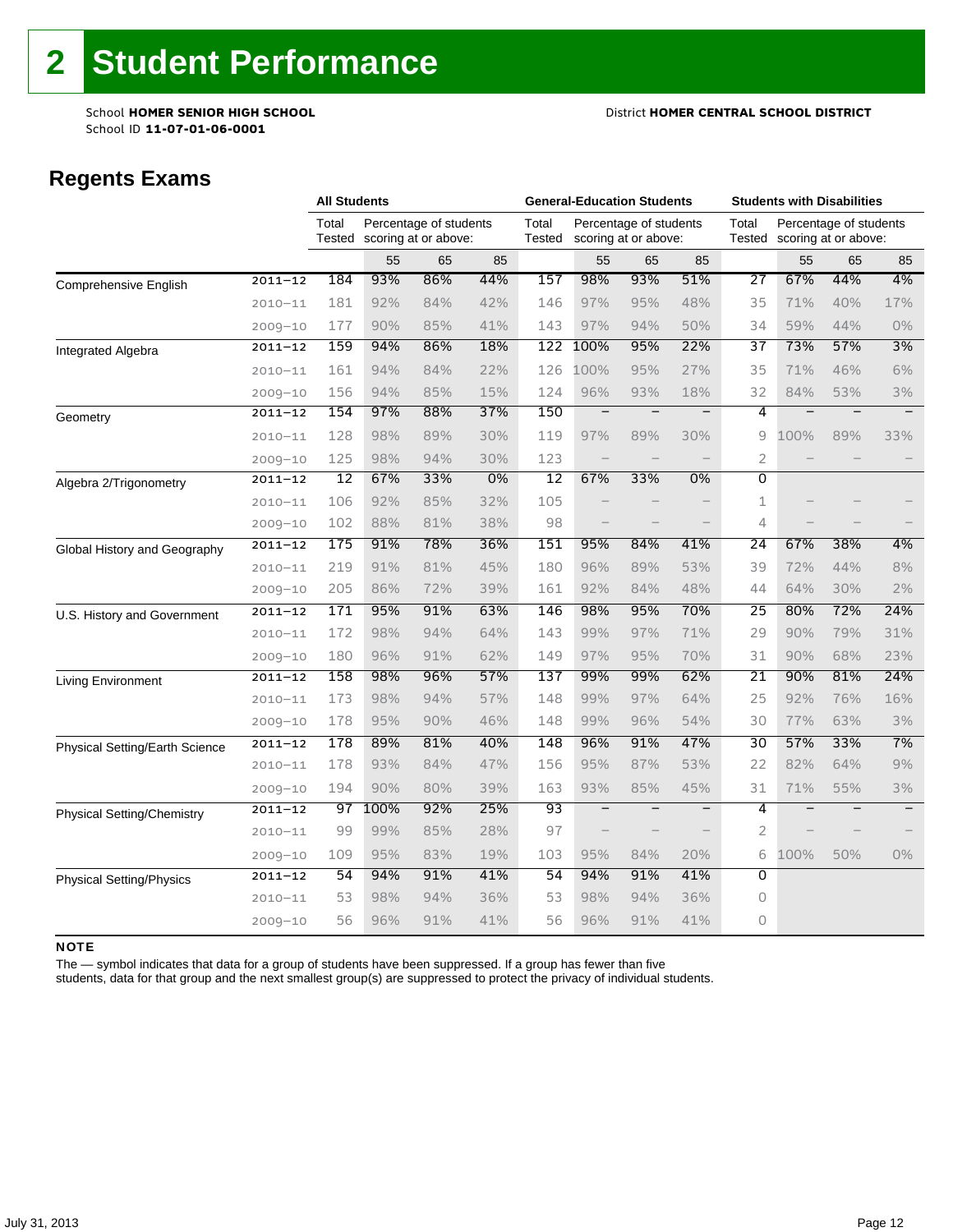School **HOMER SENIOR HIGH SCHOOL** District **HOMER CENTRAL SCHOOL DISTRICT**

# **Regents Exams**

|                                   |             | <b>All Students</b> |      |                                                |       | <b>General-Education Students</b> |                          |                                                |                          | <b>Students with Disabilities</b> |                                                |     |       |
|-----------------------------------|-------------|---------------------|------|------------------------------------------------|-------|-----------------------------------|--------------------------|------------------------------------------------|--------------------------|-----------------------------------|------------------------------------------------|-----|-------|
|                                   |             | Total<br>Tested     |      | Percentage of students<br>scoring at or above: |       | Total<br>Tested                   |                          | Percentage of students<br>scoring at or above: |                          | Total<br>Tested                   | Percentage of students<br>scoring at or above: |     |       |
|                                   |             |                     | 55   | 65                                             | 85    |                                   | 55                       | 65                                             | 85                       |                                   | 55                                             | 65  | 85    |
| <b>Comprehensive English</b>      | $2011 - 12$ | 184                 | 93%  | 86%                                            | 44%   | 157                               | 98%                      | 93%                                            | 51%                      | 27                                | 67%                                            | 44% | 4%    |
|                                   | $2010 - 11$ | 181                 | 92%  | 84%                                            | 42%   | 146                               | 97%                      | 95%                                            | 48%                      | 35                                | 71%                                            | 40% | 17%   |
|                                   | $2009 - 10$ | 177                 | 90%  | 85%                                            | 41%   | 143                               | 97%                      | 94%                                            | 50%                      | 34                                | 59%                                            | 44% | $0\%$ |
| Integrated Algebra                | $2011 - 12$ | 159                 | 94%  | 86%                                            | 18%   | 122                               | 100%                     | 95%                                            | 22%                      | 37                                | 73%                                            | 57% | 3%    |
|                                   | $2010 - 11$ | 161                 | 94%  | 84%                                            | 22%   | 126                               | 100%                     | 95%                                            | 27%                      | 35                                | 71%                                            | 46% | 6%    |
|                                   | $2009 - 10$ | 156                 | 94%  | 85%                                            | 15%   | 124                               | 96%                      | 93%                                            | 18%                      | 32                                | 84%                                            | 53% | 3%    |
| Geometry                          | $2011 - 12$ | 154                 | 97%  | 88%                                            | 37%   | 150                               | $\qquad \qquad -$        |                                                | $\overline{\phantom{m}}$ | 4                                 | $\overline{\phantom{0}}$                       |     |       |
|                                   | $2010 - 11$ | 128                 | 98%  | 89%                                            | 30%   | 119                               | 97%                      | 89%                                            | 30%                      | 9                                 | 100%                                           | 89% | 33%   |
|                                   | $2009 - 10$ | 125                 | 98%  | 94%                                            | 30%   | 123                               |                          |                                                | $\qquad \qquad -$        | 2                                 |                                                |     |       |
| Algebra 2/Trigonometry            | $2011 - 12$ | 12                  | 67%  | 33%                                            | $0\%$ | $\overline{12}$                   | 67%                      | 33%                                            | 0%                       | $\overline{0}$                    |                                                |     |       |
|                                   | $2010 - 11$ | 106                 | 92%  | 85%                                            | 32%   | 105                               |                          |                                                |                          | 1                                 |                                                |     |       |
|                                   | $2009 - 10$ | 102                 | 88%  | 81%                                            | 38%   | 98                                |                          |                                                |                          | 4                                 |                                                |     |       |
| Global History and Geography      | $2011 - 12$ | 175                 | 91%  | 78%                                            | 36%   | 151                               | 95%                      | 84%                                            | 41%                      | 24                                | 67%                                            | 38% | 4%    |
|                                   | $2010 - 11$ | 219                 | 91%  | 81%                                            | 45%   | 180                               | 96%                      | 89%                                            | 53%                      | 39                                | 72%                                            | 44% | 8%    |
|                                   | $2009 - 10$ | 205                 | 86%  | 72%                                            | 39%   | 161                               | 92%                      | 84%                                            | 48%                      | 44                                | 64%                                            | 30% | 2%    |
| U.S. History and Government       | $2011 - 12$ | 171                 | 95%  | 91%                                            | 63%   | 146                               | 98%                      | 95%                                            | 70%                      | 25                                | 80%                                            | 72% | 24%   |
|                                   | $2010 - 11$ | 172                 | 98%  | 94%                                            | 64%   | 143                               | 99%                      | 97%                                            | 71%                      | 29                                | 90%                                            | 79% | 31%   |
|                                   | $2009 - 10$ | 180                 | 96%  | 91%                                            | 62%   | 149                               | 97%                      | 95%                                            | 70%                      | 31                                | 90%                                            | 68% | 23%   |
| Living Environment                | $2011 - 12$ | 158                 | 98%  | 96%                                            | 57%   | 137                               | 99%                      | 99%                                            | 62%                      | 21                                | 90%                                            | 81% | 24%   |
|                                   | $2010 - 11$ | 173                 | 98%  | 94%                                            | 57%   | 148                               | 99%                      | 97%                                            | 64%                      | 25                                | 92%                                            | 76% | 16%   |
|                                   | $2009 - 10$ | 178                 | 95%  | 90%                                            | 46%   | 148                               | 99%                      | 96%                                            | 54%                      | 30                                | 77%                                            | 63% | 3%    |
| Physical Setting/Earth Science    | $2011 - 12$ | 178                 | 89%  | 81%                                            | 40%   | 148                               | 96%                      | 91%                                            | 47%                      | 30                                | 57%                                            | 33% | 7%    |
|                                   | $2010 - 11$ | 178                 | 93%  | 84%                                            | 47%   | 156                               | 95%                      | 87%                                            | 53%                      | 22                                | 82%                                            | 64% | 9%    |
|                                   | $2009 - 10$ | 194                 | 90%  | 80%                                            | 39%   | 163                               | 93%                      | 85%                                            | 45%                      | 31                                | 71%                                            | 55% | 3%    |
| <b>Physical Setting/Chemistry</b> | $2011 - 12$ | 97                  | 100% | 92%                                            | 25%   | 93                                | $\overline{\phantom{m}}$ |                                                | $\qquad \qquad -$        | 4                                 |                                                |     |       |
|                                   | $2010 - 11$ | 99                  | 99%  | 85%                                            | 28%   | 97                                |                          |                                                |                          | $\overline{2}$                    |                                                |     |       |
|                                   | $2009 - 10$ | 109                 | 95%  | 83%                                            | 19%   | 103                               | 95%                      | 84%                                            | 20%                      | 6                                 | 100%                                           | 50% | $0\%$ |
| <b>Physical Setting/Physics</b>   | $2011 - 12$ | 54                  | 94%  | 91%                                            | 41%   | 54                                | 94%                      | 91%                                            | 41%                      | $\overline{0}$                    |                                                |     |       |
|                                   | $2010 - 11$ | 53                  | 98%  | 94%                                            | 36%   | 53                                | 98%                      | 94%                                            | 36%                      | 0                                 |                                                |     |       |
|                                   | $2009 - 10$ | 56                  | 96%  | 91%                                            | 41%   | 56                                | 96%                      | 91%                                            | 41%                      | 0                                 |                                                |     |       |

#### NOTE

The — symbol indicates that data for a group of students have been suppressed. If a group has fewer than five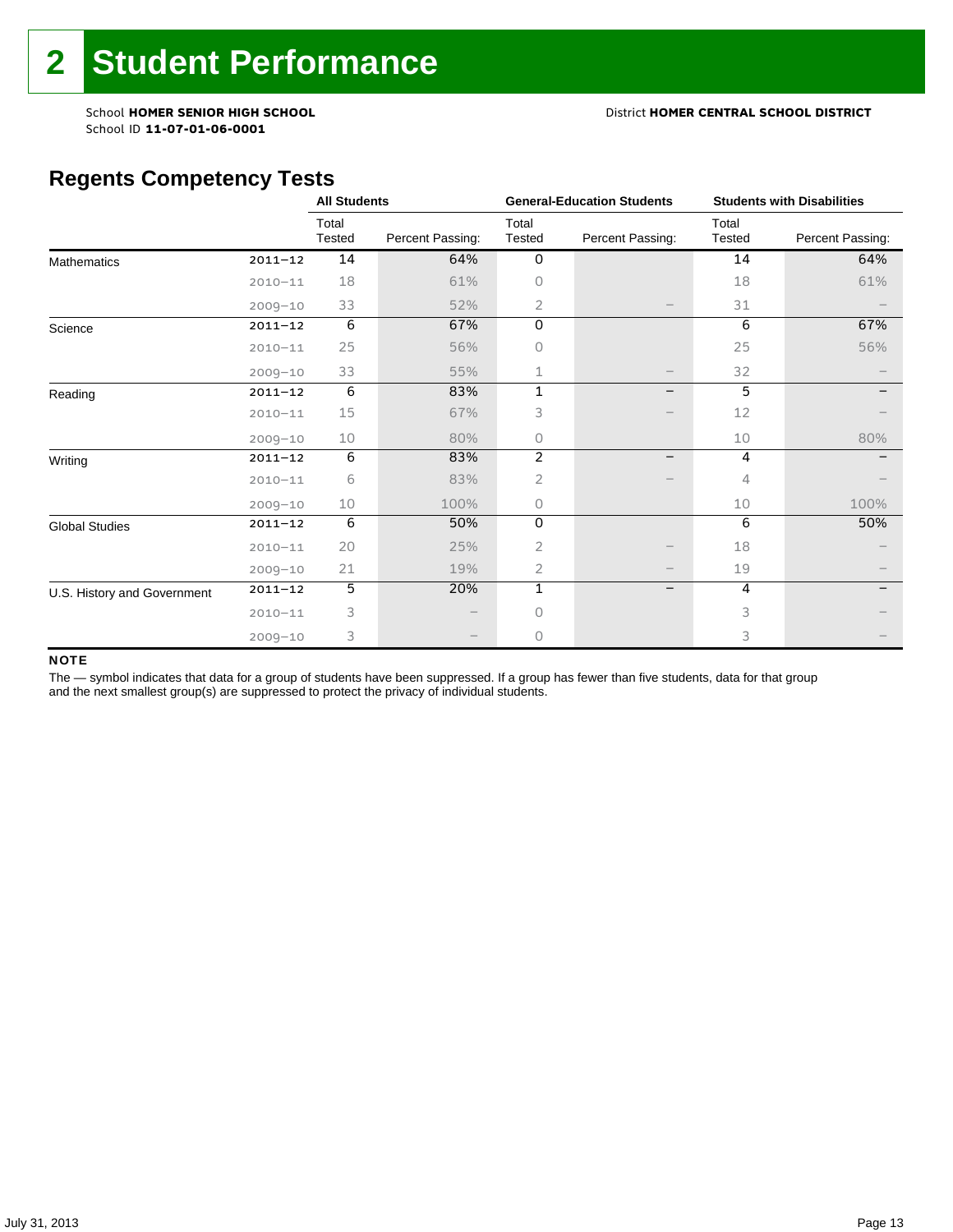#### School **HOMER SENIOR HIGH SCHOOL** District **HOMER CENTRAL SCHOOL DISTRICT**

# **Regents Competency Tests**

|                             |             | <b>All Students</b> |                  |                 | <b>General-Education Students</b> | <b>Students with Disabilities</b> |                  |  |
|-----------------------------|-------------|---------------------|------------------|-----------------|-----------------------------------|-----------------------------------|------------------|--|
|                             |             | Total<br>Tested     | Percent Passing: | Total<br>Tested | Percent Passing:                  | Total<br>Tested                   | Percent Passing: |  |
| <b>Mathematics</b>          | $2011 - 12$ | 14                  | 64%              | $\mathbf 0$     |                                   | 14                                | 64%              |  |
|                             | $2010 - 11$ | 18                  | 61%              | 0               |                                   | 18                                | 61%              |  |
|                             | $2009 - 10$ | 33                  | 52%              | 2               |                                   | 31                                |                  |  |
| Science                     | $2011 - 12$ | 6                   | 67%              | 0               |                                   | 6                                 | 67%              |  |
|                             | $2010 - 11$ | 25                  | 56%              | Ω               |                                   | 25                                | 56%              |  |
|                             | $2009 - 10$ | 33                  | 55%              | 1               |                                   | 32                                |                  |  |
| Reading                     | $2011 - 12$ | 6                   | 83%              | 1               | -                                 | 5                                 |                  |  |
|                             | $2010 - 11$ | 15                  | 67%              | 3               |                                   | 12                                |                  |  |
|                             | $2009 - 10$ | 10                  | 80%              | 0               |                                   | 10                                | 80%              |  |
| Writing                     | $2011 - 12$ | 6                   | 83%              | $\overline{2}$  | $\overline{\phantom{0}}$          | 4                                 |                  |  |
|                             | $2010 - 11$ | 6                   | 83%              | $\overline{2}$  |                                   | 4                                 |                  |  |
|                             | $2009 - 10$ | 10                  | 100%             | 0               |                                   | 10                                | 100%             |  |
| <b>Global Studies</b>       | $2011 - 12$ | 6                   | 50%              | 0               |                                   | 6                                 | 50%              |  |
|                             | $2010 - 11$ | 20                  | 25%              | 2               |                                   | 18                                |                  |  |
|                             | $2009 - 10$ | 21                  | 19%              | 2               |                                   | 19                                |                  |  |
| U.S. History and Government | $2011 - 12$ | 5                   | 20%              | $\mathbf{1}$    | -                                 | 4                                 |                  |  |
|                             | $2010 - 11$ | 3                   |                  | 0               |                                   | 3                                 |                  |  |
|                             | $2009 - 10$ | 3                   |                  | 0               |                                   | 3                                 |                  |  |

#### NOTE

The - symbol indicates that data for a group of students have been suppressed. If a group has fewer than five students, data for that group and the next smallest group(s) are suppressed to protect the privacy of individual students.